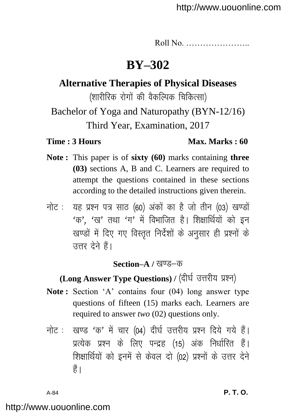Roll No. …………………..

# **BY–302**

**Alternative Therapies of Physical Diseases**

(शारीरिक रोगों की वैकल्पिक चिकित्सा)

Bachelor of Yoga and Naturopathy (BYN-12/16) Third Year, Examination, 2017

#### **Time : 3 Hours Max. Marks : 60**

- **Note :** This paper is of **sixty (60)** marks containing **three (03)** sections A, B and C. Learners are required to attempt the questions contained in these sections according to the detailed instructions given therein.
- नोट: यह प्रश्न पत्र साठ (60) अंकों का है जो तीन (03) खण्डों  $4\pi$ ,  $4\pi$ , तथा  $4\pi$ , में विभाजित है। शिक्षार्थियों को इन खण्डों में दिए गए विस्तृत निर्देशों के अनुसार ही प्रश्नों के उत्तर देने हैं।

#### **Section–A / खण्ड–क**

# **(Long Answer Type Questions) / (दीर्घ उत्तरीय प्रश्न)**

- **Note :** Section 'A' contains four (04) long answer type questions of fifteen (15) marks each. Learners are required to answer *two* (02) questions only.
- नोट: खण्ड 'क' में चार (04) दीर्घ उत्तरीय प्रश्न दिये गये हैं। प्रत्येक प्रश्न के लिए पन्द्रह (15) अंक निर्धारित हैं। शिक्षार्थियों को इनमें से केवल दो (02) प्रश्नों के उत्तर देने  $\frac{4}{5}$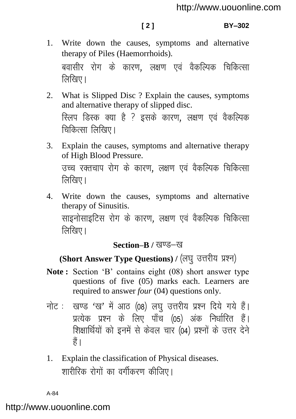- 1. Write down the causes, symptoms and alternative therapy of Piles (Haemorrhoids). बवासीर रोग के कारण. लक्षण एवं वैकल्पिक चिकित्सा तिखिए।
- 2. What is Slipped Disc ? Explain the causes, symptoms and alternative therapy of slipped disc. रिलप डिस्क क्या है ? इसके कारण, लक्षण एवं वैकल्पिक चिकित्सा लिखिए।
- 3. Explain the causes, symptoms and alternative therapy of High Blood Pressure. उच्च रक्तचाप रोग के कारण, लक्षण एवं वैकल्पिक चिकित्सा  $\sqrt{\frac{1}{2}}$ िसिए।
- 4. Write down the causes, symptoms and alternative therapy of Sinusitis. साइनोसाइटिस रोग के कारण. लक्षण एवं वैकल्पिक चिकित्सा तिखिए।

#### **Section–B / खण्ड–ख**

# (Short Answer Type Questions) / (लघु उत्तरीय प्रश्न)

- **Note :** Section 'B' contains eight (08) short answer type questions of five (05) marks each. Learners are required to answer *four* (04) questions only.
- नोट: खण्ड 'ख' में आठ (08) लघु उत्तरीय प्रश्न दिये गये हैं। प्रत्येक प्रश्न के लिए पाँच (05) अंक निर्धारित हैं। शिक्षार्थियों को इनमें से केवल चार (04) प्रश्नों के उत्तर देने हैं।
- 1. Explain the classification of Physical diseases. शारीरिक रोगों का वर्गीकरण कीजिए।

A-84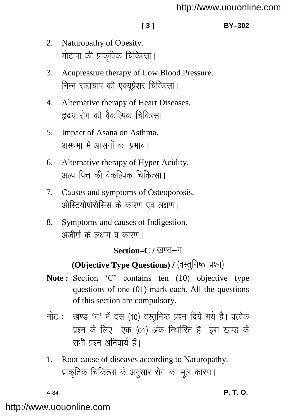#### **[ 3 ] BY–302**

- 2. Naturopathy of Obesity. मोटापा की प्राकृतिक चिकित्सा।
- 3. Acupressure therapy of Low Blood Pressure. निम्न रक्तचाप की एक्युप्रेशर चिकित्सा।
- 4. Alternative therapy of Heart Diseases. हृदय रोग की वैकल्पिक चिकित्सा।
- 5. Impact of Asana on Asthma. अरथमा में आसनों का प्रभाव।
- 6. Alternative therapy of Hyper Acidity. अल्प पित्त की वैकल्पिक चिकित्सा।
- 7. Causes and symptoms of Osteoporosis. ओस्टियोपोरोसिस के कारण एवं लक्षण।
- 8. Symptoms and causes of Indigestion. अजीर्ण के लक्षण व कारण।

#### Section–C / खण्ड–ग

# **(Objective Type Questions) / (वस्तुनिष्ठ प्रश्न)**

- Note: Section 'C' contains ten (10) objective type questions of one (01) mark each. All the questions of this section are compulsory.
- नोट: खण्ड 'ग' में दस (10) वस्तुनिष्ठ प्रश्न दिये गये हैं। प्रत्येक प्रश्न के लिए एक (01) अंक निर्धारित है। इस खण्ड के सभी प्रश्न अनिवार्य हैं।
- 1. Root cause of diseases according to Naturopathy. प्राकृतिक चिकित्सा के अनुसार रोग का मूल कारण।